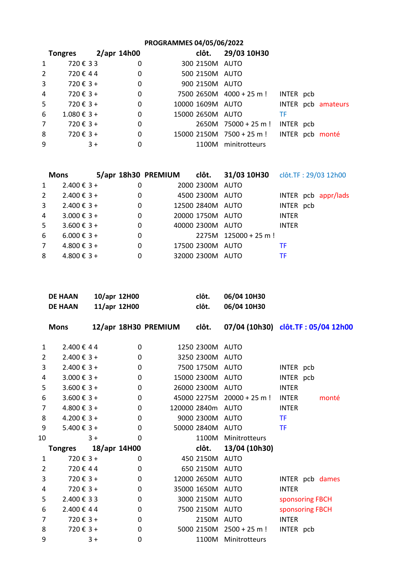## **PROGRAMMES 04/05/06/2022**

|                | <b>Tongres</b>         | 2/apr 14h00 |   | clôt.            | 29/03 10H30                   |           |                    |
|----------------|------------------------|-------------|---|------------------|-------------------------------|-----------|--------------------|
| $\mathbf{1}$   | 720€33                 |             | 0 | 300 2150M AUTO   |                               |           |                    |
| $2^{\circ}$    | 720€44                 |             | 0 | 500 2150M AUTO   |                               |           |                    |
| $\mathbf{3}$   | 720 € $3 +$            |             | 0 | 900 2150M AUTO   |                               |           |                    |
| $\overline{4}$ | 720 € $3 +$            |             | 0 |                  | 7500 2650M 4000 + 25 m !      | INTER pcb |                    |
| 5 <sup>1</sup> | 720 € $3 +$            |             | 0 | 10000 1609M AUTO |                               |           | INTER pcb amateurs |
| 6              | $1.080 \text{ € } 3 +$ |             | 0 | 15000 2650M AUTO |                               | ТF        |                    |
| $7^{\circ}$    | 720 € $3 +$            |             | 0 |                  | $2650M$ 75000 + 25 m !        | INTER pcb |                    |
| 8              | 720 € $3 +$            |             | 0 |                  | $15000$ 2150M $7500 + 25$ m ! |           | INTER pcb monté    |
| 9              |                        | $3+$        | 0 | 1100M            | minitrotteurs                 |           |                    |

| <b>Mons</b>    |                          |             |                  | 5/apr 18h30 PREMIUM clôt. 31/03 10H30 clôt.TF: 29/03 12h00 |              |                     |
|----------------|--------------------------|-------------|------------------|------------------------------------------------------------|--------------|---------------------|
| $\mathbf{1}$   | $2.400 \t{€} 3 +$        | 0           | 2000 2300M AUTO  |                                                            |              |                     |
| $2^{\circ}$    | $2.400 \t{€} 3 +$        | 0           | 4500 2300M AUTO  |                                                            |              | INTER pcb appr/lads |
| 3              | $2.400 \text{€ } 3 +$    | $\mathbf 0$ | 12500 2840M AUTO |                                                            | INTER pcb    |                     |
| $\overline{4}$ | $3.000 \text{ } \in 3 +$ | 0           | 20000 1750M AUTO |                                                            | <b>INTER</b> |                     |
| 5              | $3.600 \text{ } \in 3 +$ | 0           | 40000 2300M AUTO |                                                            | <b>INTER</b> |                     |
| 6              | $6.000 \text{ } \in 3 +$ | 0           |                  | $2275M$ 125000 + 25 m !                                    |              |                     |
| $7^{\circ}$    | $4.800 \text{€ } 3 +$    | 0           | 17500 2300M AUTO |                                                            | TF           |                     |
| 8              | $4.800 \text{€ } 3 +$    | 0           | 32000 2300M AUTO |                                                            | ТF           |                     |

| <b>DE HAAN</b> | 10/apr 12H00 | clôt. | 06/04 10H30 |
|----------------|--------------|-------|-------------|
| <b>DE HAAN</b> | 11/apr 12H00 | clôt. | 06/04 10H30 |

|    | <b>Mons</b>              |      |          | 12/apr 18H30 PREMIUM clôt. |                   |                              | 07/04 (10h30) clôt.TF: 05/04 12h00 |
|----|--------------------------|------|----------|----------------------------|-------------------|------------------------------|------------------------------------|
| 1  | 2.400€44                 |      | 0        |                            | 1250 2300M AUTO   |                              |                                    |
| 2  | $2.400 \text{ € } 3 +$   |      | 0        |                            | 3250 2300M AUTO   |                              |                                    |
| 3  | $2.400 \t{€} 3 +$        |      | $\Omega$ |                            | 7500 1750M AUTO   |                              | INTER pcb                          |
| 4  | $3.000 \text{ € } 3 +$   |      | 0        |                            | 15000 2300M AUTO  |                              | INTER pcb                          |
| 5  | $3.600 \text{ € } 3 +$   |      | 0        |                            | 26000 2300M       | AUTO                         | <b>INTER</b>                       |
| 6  | $3.600 \text{ € } 3 +$   |      | $\Omega$ |                            |                   | $45000$ 2275M 20000 + 25 m ! | <b>INTER</b><br>monté              |
| 7  | $4.800 \text{€ } 3 +$    |      | $\Omega$ |                            | 120000 2840m AUTO |                              | <b>INTER</b>                       |
| 8  | $4.200 \text{ } \in 3 +$ |      | 0        |                            | 9000 2300M AUTO   |                              | <b>TF</b>                          |
| 9  | $5.400 \text{€ } 3 +$    |      | 0        |                            | 50000 2840M AUTO  |                              | <b>TF</b>                          |
| 10 |                          | $3+$ | 0        |                            | 1100M             | Minitrotteurs                |                                    |
|    | Tongres 18/apr 14H00     |      |          |                            | clôt.             | 13/04 (10h30)                |                                    |
| 1  | 720 € $3 +$              |      | 0        |                            | 450 2150M         | AUTO                         |                                    |
| 2  | 720€44                   |      | 0        |                            | 650 2150M AUTO    |                              |                                    |
| 3  | 720€ 3+                  |      | 0        |                            | 12000 2650M AUTO  |                              | INTER pcb dames                    |
| 4  | 720 € $3 +$              |      | 0        |                            | 35000 1650M AUTO  |                              | <b>INTER</b>                       |
| 5  | 2.400 € 33               |      | 0        |                            | 3000 2150M AUTO   |                              | sponsoring FBCH                    |
| 6  | 2.400 € 44               |      | $\Omega$ |                            | 7500 2150M AUTO   |                              | sponsoring FBCH                    |
| 7  | 720€ 3+                  |      | 0        |                            | 2150M             | AUTO                         | <b>INTER</b>                       |
| 8  | 720 € $3 +$              |      | 0        |                            |                   | 5000 2150M 2500 + 25 m !     | INTER pcb                          |
| 9  |                          | $3+$ | $\Omega$ |                            |                   | 1100M Minitrotteurs          |                                    |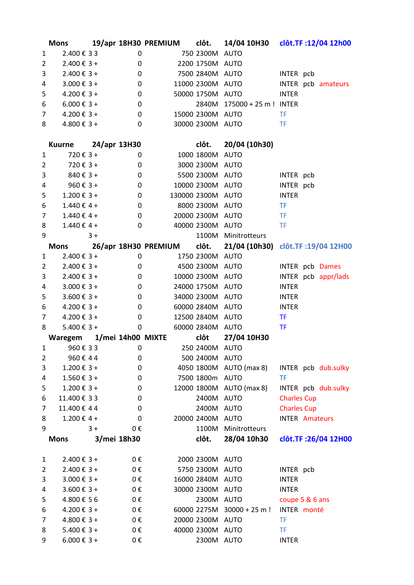|                | <b>Mons</b>              |       |              |                                            |                  | 19/apr 18H30 PREMIUM clôt. 14/04 10H30 clôt.TF:12/04 12h00        |                        |                      |
|----------------|--------------------------|-------|--------------|--------------------------------------------|------------------|-------------------------------------------------------------------|------------------------|----------------------|
| $\mathbf{1}$   | 2.400 € 33               |       | $\mathbf 0$  | 750 2300M AUTO                             |                  |                                                                   |                        |                      |
| 2              | $2.400 € 3 +$            |       | 0            |                                            | 2200 1750M AUTO  |                                                                   |                        |                      |
| 3              | $2.400 € 3 +$            |       | $\mathbf 0$  |                                            | 7500 2840M AUTO  |                                                                   | INTER pcb              |                      |
| $\overline{4}$ | $3.000 \text{ } \in 3 +$ |       | $\mathbf 0$  |                                            | 11000 2300M AUTO |                                                                   |                        | INTER pcb amateurs   |
| 5              | $4.200 \text{ } \in 3 +$ |       | $\mathbf 0$  |                                            | 50000 1750M AUTO |                                                                   | <b>INTER</b>           |                      |
| 6              | $6.000 \text{ } \in 3 +$ |       | $\mathbf 0$  |                                            |                  | 2840M 175000 + 25 m ! INTER                                       |                        |                      |
| $\overline{7}$ | $4.200 \text{€ } 3 +$    |       | 0            |                                            | 15000 2300M AUTO |                                                                   | <b>TF</b>              |                      |
| 8              | $4.800 \text{ } \in 3 +$ |       | $\mathbf{0}$ |                                            |                  | 30000 2300M AUTO                                                  | <b>TF</b>              |                      |
|                |                          |       |              |                                            |                  |                                                                   |                        |                      |
|                | Kuurne $24/apr$ 13H30    |       |              |                                            |                  | clôt. 20/04 (10h30)                                               |                        |                      |
| 1              | $720 € 3 +$              |       | $\mathbf{0}$ |                                            | 1000 1800M AUTO  |                                                                   |                        |                      |
| 2              | $720 € 3 +$              |       | $\mathbf 0$  |                                            | 3000 2300M AUTO  |                                                                   |                        |                      |
| 3              | $840 \text{ } \in 3 +$   |       | 0            |                                            | 5500 2300M AUTO  |                                                                   | INTER pcb              |                      |
| 4              | $960 \text{ } \in 3 +$   |       | $\mathbf 0$  |                                            |                  | 10000 2300M AUTO                                                  | INTER pcb              |                      |
| 5              | $1.200 \text{ € } 3 +$   |       | $\mathbf 0$  |                                            |                  | 130000 2300M AUTO                                                 | <b>INTER</b>           |                      |
| 6              | $1.440 € 4 +$            |       | $\mathbf 0$  |                                            | 8000 2300M AUTO  |                                                                   | <b>TF</b>              |                      |
| $\overline{7}$ | $1.440 \text{ } \in 4 +$ |       | $\mathbf 0$  |                                            | 20000 2300M AUTO |                                                                   | <b>TF</b>              |                      |
| 8              | $1.440 \text{€ } 4 +$    |       | $\mathbf 0$  |                                            | 40000 2300M AUTO |                                                                   | <b>TF</b>              |                      |
| 9              |                          | $3+$  |              |                                            |                  | 1100M Minitrotteurs                                               |                        |                      |
|                |                          |       |              |                                            |                  | Mons 26/apr 18H30 PREMIUM clôt. 21/04 (10h30) clôt.TF:19/04 12H00 |                        |                      |
| $\mathbf{1}$   | $2.400 \text{ € } 3 +$   |       | $\mathbf 0$  |                                            | 1750 2300M AUTO  |                                                                   |                        |                      |
| $\overline{2}$ | $2.400 \text{€ } 3 +$    |       | 0            |                                            |                  | 4500 2300M AUTO                                                   | <b>INTER</b> pcb Dames |                      |
| 3              | $2.400 \text{ € } 3 +$   |       | 0            |                                            |                  | 10000 2300M AUTO                                                  |                        | INTER pcb appr/lads  |
| $\overline{4}$ | $3.000 \text{ } \in 3 +$ |       | $\mathbf 0$  |                                            |                  | 24000 1750M AUTO                                                  | <b>INTER</b>           |                      |
| 5              | $3.600 \text{ } \in 3 +$ |       | $\mathbf 0$  |                                            | 34000 2300M AUTO |                                                                   | <b>INTER</b>           |                      |
| 6              | $4.200 \text{ } \in 3 +$ |       | $\mathbf 0$  |                                            |                  | 60000 2840M AUTO                                                  | <b>INTER</b>           |                      |
| $\overline{7}$ | $4.200 \text{ € } 3 +$   |       | $\mathbf 0$  |                                            | 12500 2840M AUTO |                                                                   | <b>TF</b>              |                      |
| 8              | $5.400 \text{ } \in 3 +$ |       | 0            | 60000 2840M AUTO                           |                  |                                                                   | <b>TF</b>              |                      |
|                |                          |       |              | Waregem 1/mei 14h00 MIXTE clôt 27/04 10H30 |                  |                                                                   |                        |                      |
|                | $1 \quad \blacksquare$   |       |              | 960 € 3 3 0 250 2400M AUTO                 |                  |                                                                   |                        |                      |
| 2              | 960€44                   |       | 0            |                                            | 500 2400M AUTO   |                                                                   |                        |                      |
| 3              | $1.200 \text{ € } 3 +$   |       | 0            |                                            |                  | 4050 1800M AUTO (max 8)                                           |                        | INTER pcb dub.sulky  |
| 4              | $1.560 € 3 +$            |       | 0            |                                            | 7500 1800m AUTO  |                                                                   | <b>TF</b>              |                      |
| 5              | $1.200 \text{ € } 3 +$   |       | 0            |                                            |                  | 12000 1800M AUTO (max 8)                                          |                        | INTER pcb dub.sulky  |
| 6              | 11.400 € 33              |       | 0            |                                            | 2400M AUTO       |                                                                   | <b>Charles Cup</b>     |                      |
| $\overline{7}$ | 11.400 € 44              |       | 0            |                                            | 2400M AUTO       |                                                                   | <b>Charles Cup</b>     |                      |
| 8              | $1.200 \text{€ } 4 +$    |       | 0            |                                            | 20000 2400M AUTO |                                                                   | <b>INTER Amateurs</b>  |                      |
| 9              |                          | $3 +$ | 0€           |                                            |                  | 1100M Minitrotteurs                                               |                        |                      |
|                | <b>Mons</b>              |       | 3/mei 18h30  |                                            | clôt.            | 28/04 10h30                                                       |                        | clôt.TF: 26/04 12H00 |
|                |                          |       |              |                                            |                  |                                                                   |                        |                      |
| 1              | $2.400 € 3 +$            |       | 0€           |                                            | 2000 2300M AUTO  |                                                                   |                        |                      |
| 2              | $2.400 € 3 +$            |       | 0€           |                                            | 5750 2300M AUTO  |                                                                   | INTER pcb              |                      |
| 3              | $3.000 \text{€ } 3 +$    |       | 0€           |                                            | 16000 2840M AUTO |                                                                   | <b>INTER</b>           |                      |
| 4              | $3.600 \text{ € } 3 +$   |       | 0€           |                                            | 30000 2300M AUTO |                                                                   | <b>INTER</b>           |                      |
| 5              | 4.800 € 56               |       | 0€           |                                            | 2300M AUTO       |                                                                   | coupe 5 & 6 ans        |                      |
| 6              | $4.200 \text{€ } 3 +$    |       | 0€           |                                            |                  | 60000 2275M $30000 + 25$ m!                                       | INTER monté            |                      |
| $\overline{7}$ | $4.800 \text{€ } 3 +$    |       | 0€           |                                            | 20000 2300M AUTO |                                                                   | <b>TF</b>              |                      |
|                |                          |       |              |                                            |                  |                                                                   |                        |                      |
| 8              | $5.400 \text{€ } 3 +$    |       | 0€           |                                            | 40000 2300M AUTO |                                                                   | TF.                    |                      |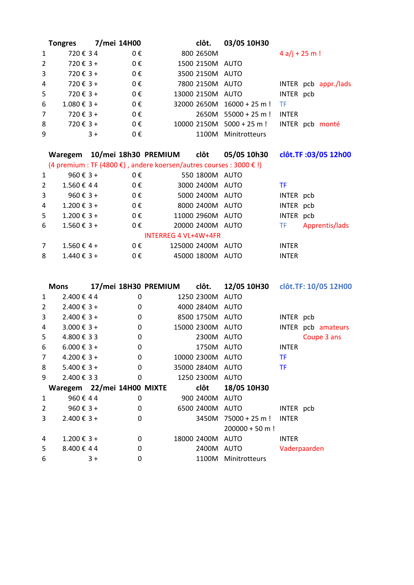|                | <b>Tongres</b>         |      | 7/mei 14H00 | clôt.            | 03/05 10H30                    |                 |                      |
|----------------|------------------------|------|-------------|------------------|--------------------------------|-----------------|----------------------|
| 1              | 720€34                 |      | $0 \in$     | 800 2650M        |                                | $4 a/j + 25 m!$ |                      |
| $2^{\circ}$    | $720 € 3 +$            |      | 0€          | 1500 2150M AUTO  |                                |                 |                      |
| 3              | 720 € 3 +              |      | 0€          | 3500 2150M AUTO  |                                |                 |                      |
| $\overline{4}$ | $720 € 3 +$            |      | 0€          | 7800 2150M AUTO  |                                |                 | INTER pcb appr./lads |
| 5 <sup>5</sup> | 720 € $3 +$            |      | 0€          | 13000 2150M AUTO |                                | INTER pcb       |                      |
| 6              | $1.080 \text{ € } 3 +$ |      | 0€          |                  | $32000$ 2650M $16000 + 25$ m ! | - TF            |                      |
| $7^{\circ}$    | 720 € $3 +$            |      | 0€          |                  | $2650M$ 55000 + 25 m !         | <b>INTER</b>    |                      |
| 8              | $720 € 3 +$            |      | 0€          |                  | $10000$ 2150M $5000 + 25$ m !  |                 | INTER pcb monté      |
| 9              |                        | $3+$ | 0€          | 1100M            | Minitrotteurs                  |                 |                      |

|   | Waregem                  |         | 10/mei 18h30 PREMIUM clôt                                           |                  | 05/05 10h30 |              | clôt.TF: 03/05 12h00 |
|---|--------------------------|---------|---------------------------------------------------------------------|------------------|-------------|--------------|----------------------|
|   |                          |         | (4 premium : TF (4800 €), andere koersen/autres courses : 3000 € !) |                  |             |              |                      |
| 1 | 960 $\epsilon$ 3 +       | 0€      |                                                                     | 550 1800M AUTO   |             |              |                      |
| 2 | 1.560€44                 | 0€      |                                                                     | 3000 2400M AUTO  |             | TF.          |                      |
| 3 | 960 $\epsilon$ 3 +       | $0 \in$ |                                                                     | 5000 2400M AUTO  |             | INTER pcb    |                      |
| 4 | $1.200 \text{ } \in 3 +$ | $0 \in$ |                                                                     | 8000 2400M AUTO  |             | INTER pcb    |                      |
| 5 | $1.200 \text{ € } 3 +$   | 0€      |                                                                     | 11000 2960M AUTO |             | INTER pcb    |                      |
| 6 | $1.560 \text{ } \in 3 +$ | $0 \in$ |                                                                     | 20000 2400M AUTO |             | TF.          | Apprentis/lads       |
|   |                          |         | INTERREG 4 VL+4W+4FR                                                |                  |             |              |                      |
| 7 | $1.560€4+$               | 0€      |                                                                     | 125000 2400M     | AUTO        | <b>INTER</b> |                      |
| 8 | $1.440 \text{ } \in 3 +$ | $0 \in$ |                                                                     | 45000 1800M AUTO |             | <b>INTER</b> |                      |

|                | <b>Mons</b>                |      |          |                  | 17/mei 18H30 PREMIUM clôt. 12/05 10H30 clôt.TF: 10/05 12H00 |              |                    |
|----------------|----------------------------|------|----------|------------------|-------------------------------------------------------------|--------------|--------------------|
| 1              | 2.400 € 44                 |      | 0        | 1250 2300M AUTO  |                                                             |              |                    |
| $\overline{2}$ | $2.400 \text{€ } 3 +$      |      | 0        | 4000 2840M AUTO  |                                                             |              |                    |
| 3              | $2.400 \text{€ } 3 +$      |      | 0        | 8500 1750M AUTO  |                                                             | INTER pcb    |                    |
| 4              | $3.000 \text{ } \in 3 +$   |      | 0        | 15000 2300M AUTO |                                                             |              | INTER pcb amateurs |
| 5              | 4.800 € 33                 |      | $\Omega$ | 2300M AUTO       |                                                             |              | Coupe 3 ans        |
| 6              | $6.000 \text{ } \in 3 +$   |      | $\Omega$ | 1750M AUTO       |                                                             | <b>INTER</b> |                    |
| 7              | $4.200 \text{€ } 3 +$      |      | $\Omega$ | 10000 2300M AUTO |                                                             | <b>TF</b>    |                    |
| 8              | $5.400 \text{ } \in 3 +$   |      | $\Omega$ | 35000 2840M AUTO |                                                             | <b>TF</b>    |                    |
| 9              | 2.400 € 33                 |      | 0        | 1250 2300M AUTO  |                                                             |              |                    |
|                | Waregem 22/mei 14H00 MIXTE |      |          | clôt             | 18/05 10H30                                                 |              |                    |
| 1              | 960€44                     |      | 0        | 900 2400M AUTO   |                                                             |              |                    |
| $\overline{2}$ | 960 $\epsilon$ 3 +         |      | 0        | 6500 2400M AUTO  |                                                             | INTER pcb    |                    |
| 3              | $2.400 \text{ € } 3 +$     |      | $\Omega$ |                  | 3450M 75000 + 25 m ! INTER                                  |              |                    |
|                |                            |      |          |                  | $200000 + 50 m$ !                                           |              |                    |
| 4              | $1.200 \text{€ } 3 +$      |      | 0        | 18000 2400M AUTO |                                                             | <b>INTER</b> |                    |
| 5              | 8.400 € 44                 |      | 0        | 2400M AUTO       |                                                             | Vaderpaarden |                    |
| 6              |                            | $3+$ | 0        | 1100M            | Minitrotteurs                                               |              |                    |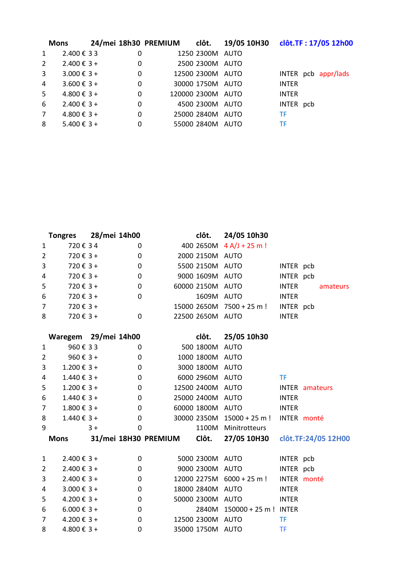|              | <b>Mons</b>              |   |                   | 24/mei 18h30 PREMIUM clôt. 19/05 10H30 clôt.TF: 17/05 12h00 |
|--------------|--------------------------|---|-------------------|-------------------------------------------------------------|
| $\mathbf{1}$ | 2.400 € 33               | 0 | 1250 2300M AUTO   |                                                             |
| $2^{\circ}$  | $2.400 \text{€ } 3 +$    | 0 | 2500 2300M AUTO   |                                                             |
| 3            | $3.000 \text{ } \in 3 +$ | 0 | 12500 2300M AUTO  | INTER pcb appr/lads                                         |
| 4            | $3.600 \text{ € } 3 +$   | 0 | 30000 1750M AUTO  | <b>INTER</b>                                                |
| 5            | $4.800 \text{€ } 3 +$    | 0 | 120000 2300M AUTO | <b>INTER</b>                                                |
| 6            | $2.400 \text{€ } 3 +$    | 0 | 4500 2300M AUTO   | INTER pcb                                                   |
| $7^{\circ}$  | $4.800 \text{€ } 3 +$    | 0 | 25000 2840M AUTO  | <b>TF</b>                                                   |
| 8            | $5.400 \text{€ } 3 +$    | 0 | 55000 2840M AUTO  | <b>TF</b>                                                   |

|                | <b>Tongres</b>           | 28/mei 14h00 |             |                            | clôt.            | 24/05 10h30                   |              |                       |
|----------------|--------------------------|--------------|-------------|----------------------------|------------------|-------------------------------|--------------|-----------------------|
| $\mathbf{1}$   | 720€34                   |              | 0           |                            |                  | 400 2650M 4 A/J + 25 m !      |              |                       |
| $\overline{2}$ | $720 € 3 +$              |              | $\mathbf 0$ |                            | 2000 2150M AUTO  |                               |              |                       |
| 3              | $720 \text{ } \in 3 +$   |              | 0           |                            | 5500 2150M AUTO  |                               | INTER pcb    |                       |
| 4              | $720 \text{ } \in 3 +$   |              | 0           |                            | 9000 1609M AUTO  |                               | INTER pcb    |                       |
| 5              | $720 \text{ } \in 3 +$   |              | 0           |                            | 60000 2150M AUTO |                               | <b>INTER</b> | amateurs              |
| 6              | $720 \text{ } \in 3 +$   |              | $\Omega$    |                            | 1609M AUTO       |                               | <b>INTER</b> |                       |
| $\overline{7}$ | $720 \text{ } \in 3 +$   |              |             |                            |                  | 15000 2650M 7500 + 25 m !     | INTER pcb    |                       |
| 8              | $720 \text{ } \in 3 +$   |              | $\Omega$    |                            | 22500 2650M AUTO |                               | <b>INTER</b> |                       |
|                | Waregem 29/mei 14h00     |              |             |                            | clôt.            | 25/05 10h30                   |              |                       |
| $\mathbf 1$    | 960€33                   |              | $\Omega$    |                            | 500 1800M AUTO   |                               |              |                       |
| $\overline{2}$ | 960 $\xi$ 3+             |              | $\mathbf 0$ |                            | 1000 1800M AUTO  |                               |              |                       |
| 3              | $1.200 \text{ € } 3 +$   |              | 0           |                            | 3000 1800M AUTO  |                               |              |                       |
| 4              | $1.440 \t{£} 3 +$        |              | 0           |                            | 6000 2960M AUTO  |                               | <b>TF</b>    |                       |
| 5              | $1.200 \text{ € } 3 +$   |              | $\Omega$    |                            | 12500 2400M AUTO |                               |              | <b>INTER</b> amateurs |
| 6              | $1.440 \text{ } \in 3 +$ |              | 0           |                            | 25000 2400M AUTO |                               | <b>INTER</b> |                       |
| $\overline{7}$ | $1.800 \text{ } \in 3 +$ |              | $\mathbf 0$ |                            | 60000 1800M AUTO |                               | <b>INTER</b> |                       |
| 8              | $1.440 \t{£} 3 +$        |              | $\mathbf 0$ |                            |                  | $30000$ 2350M $15000 + 25$ m! |              | INTER monté           |
| 9              |                          | $3+$         | 0           |                            |                  | 1100M Minitrotteurs           |              |                       |
|                | <b>Mons</b>              |              |             | 31/mei 18H30 PREMIUM Clôt. |                  | 27/05 10H30                   |              | clôt.TF:24/05 12H00   |
| $\mathbf{1}$   | $2.400 \t{€} 3 +$        |              | 0           |                            | 5000 2300M AUTO  |                               | INTER pcb    |                       |
| $\overline{2}$ | $2.400 \t{€} 3 +$        |              | $\mathbf 0$ |                            | 9000 2300M AUTO  |                               | INTER pcb    |                       |
| 3              | $2.400 \t{€} 3 +$        |              | 0           |                            |                  | 12000 2275M 6000 + 25 m !     |              | INTER monté           |
| 4              | $3.000 \text{ } \in 3 +$ |              | 0           |                            | 18000 2840M AUTO |                               | <b>INTER</b> |                       |
| 5              | $4.200 \text{ } \in 3 +$ |              | 0           |                            | 50000 2300M AUTO |                               | <b>INTER</b> |                       |
| 6              | $6.000 \text{ } \in 3 +$ |              | $\mathbf 0$ |                            |                  | 2840M 150000 + 25 m ! INTER   |              |                       |
| $\overline{7}$ | $4.200 \text{ € } 3 +$   |              | 0           |                            | 12500 2300M AUTO |                               | TF           |                       |
| 8              | $4.800 \text{€ } 3 +$    |              | $\mathbf 0$ |                            | 35000 1750M AUTO |                               | <b>TF</b>    |                       |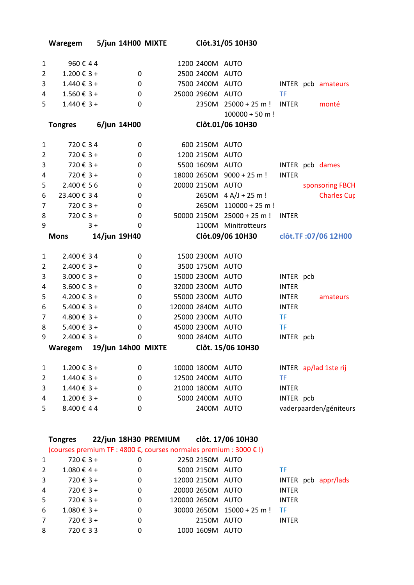| 1              | 960€44                   |                                                                    | 1200 2400M AUTO   |                                      |              |                        |
|----------------|--------------------------|--------------------------------------------------------------------|-------------------|--------------------------------------|--------------|------------------------|
| $\overline{2}$ | $1.200 \text{ € } 3 +$   | $\mathbf 0$                                                        | 2500 2400M AUTO   |                                      |              |                        |
| 3              | $1.440 \t{£} 3 +$        | $\mathbf 0$                                                        | 7500 2400M AUTO   |                                      |              | INTER pcb amateurs     |
| 4              | $1.560 € 3 +$            | $\mathbf 0$                                                        | 25000 2960M AUTO  |                                      | TF           |                        |
| 5              | $1.440 \t{£} 3 +$        | 0                                                                  |                   | 2350M 25000 + 25 m ! INTER           |              | monté                  |
|                |                          |                                                                    |                   | $100000 + 50 m!$                     |              |                        |
|                | <b>Tongres</b>           | 6/jun 14H00                                                        |                   | Clôt.01/06 10H30                     |              |                        |
|                |                          |                                                                    |                   |                                      |              |                        |
| 1              | 720€34                   | 0                                                                  | 600 2150M AUTO    |                                      |              |                        |
| $\overline{2}$ | $720 € 3 +$              | 0                                                                  | 1200 2150M AUTO   |                                      |              |                        |
| 3              | $720 € 3 +$              | $\mathbf 0$                                                        | 5500 1609M AUTO   |                                      |              | INTER pcb dames        |
| 4              | 720€3+                   | $\mathbf 0$                                                        |                   | 18000 2650M 9000 + 25 m !            | <b>INTER</b> |                        |
| 5              | 2.400 € 56               | $\mathbf 0$                                                        | 20000 2150M AUTO  |                                      |              | sponsoring FBCH        |
| 6              | 23.400 € 34              | $\pmb{0}$                                                          |                   | $2650M$ 4 A/J + 25 m !               |              | <b>Charles Cup</b>     |
| $\overline{7}$ | $720 \text{ } \in 3 +$   | 0                                                                  |                   | 2650M 110000 + 25 m!                 |              |                        |
| 8              | 720 € $3 +$              | $\pmb{0}$                                                          |                   | 50000 2150M 25000 + 25 m!            | <b>INTER</b> |                        |
| 9              | $3+$                     | $\Omega$                                                           |                   | 1100M Minitrotteurs                  |              |                        |
|                | <b>Mons</b>              | 14/jun 19H40                                                       |                   | Clôt.09/06 10H30 clôt.TF:07/06 12H00 |              |                        |
|                |                          |                                                                    |                   |                                      |              |                        |
| 1              | 2.400 € 34               | 0                                                                  | 1500 2300M AUTO   |                                      |              |                        |
| $\overline{2}$ | $2.400 € 3 +$            | $\pmb{0}$                                                          | 3500 1750M AUTO   |                                      |              |                        |
| 3              | $3.000 \text{€ } 3 +$    | $\mathbf 0$                                                        | 15000 2300M AUTO  |                                      | INTER pcb    |                        |
| 4              | $3.600 \text{ } \in 3 +$ | 0                                                                  | 32000 2300M AUTO  |                                      | <b>INTER</b> |                        |
| 5              | $4.200 \text{ € } 3 +$   | $\mathbf 0$                                                        | 55000 2300M AUTO  |                                      | <b>INTER</b> | amateurs               |
| 6              | $5.400 \text{€ } 3 +$    | $\mathbf 0$                                                        | 120000 2840M AUTO |                                      | <b>INTER</b> |                        |
| $\overline{7}$ | $4.800 \text{€ } 3 +$    | $\mathbf 0$                                                        | 25000 2300M AUTO  |                                      | TF.          |                        |
| 8              | $5.400 \text{ € } 3 +$   | $\mathbf 0$                                                        | 45000 2300M AUTO  |                                      | <b>TF</b>    |                        |
| 9              | $2.400 \t€ 3 +$          | 0                                                                  | 9000 2840M AUTO   |                                      | INTER pcb    |                        |
|                |                          | Waregem 19/jun 14h00 MIXTE                                         |                   | Clôt. 15/06 10H30                    |              |                        |
|                |                          |                                                                    |                   |                                      |              |                        |
| $\mathbf{1}$   | $1.200 \text{ € } 3 +$   | 0                                                                  | 10000 1800M AUTO  |                                      |              | INTER ap/lad 1ste rij  |
| 2              | $1.440 \t{£} 3 +$        | 0                                                                  | 12500 2400M AUTO  |                                      | TF           |                        |
| 3              | $1.440 \t{£} 3 +$        | $\mathbf 0$                                                        | 21000 1800M AUTO  |                                      | <b>INTER</b> |                        |
| 4              | $1.200 \text{ € } 3 +$   | $\pmb{0}$                                                          | 5000 2400M AUTO   |                                      | INTER pcb    |                        |
| 5              | 8.400 € 44               | 0                                                                  | 2400M AUTO        |                                      |              | vaderpaarden/géniteurs |
|                |                          |                                                                    |                   |                                      |              |                        |
|                |                          |                                                                    |                   |                                      |              |                        |
|                | <b>Tongres</b>           | 22/jun 18H30 PREMIUM clôt. 17/06 10H30                             |                   |                                      |              |                        |
|                |                          | (courses premium TF : 4800 €, courses normales premium : 3000 € !) |                   |                                      |              |                        |
| 1              | 720€3+                   | 0                                                                  | 2250 2150M AUTO   |                                      |              |                        |
| 2              | $1.080 \text{ € } 4 +$   | 0                                                                  | 5000 2150M AUTO   |                                      | TF           |                        |
| 3              | $720 \text{ } \in 3 +$   | 0                                                                  | 12000 2150M AUTO  |                                      |              | INTER pcb appr/lads    |
| 4              | $720 \text{ } \in 3 +$   | 0                                                                  | 20000 2650M AUTO  |                                      | <b>INTER</b> |                        |
| 5              | $720 \text{ } \in 3 +$   | $\pmb{0}$                                                          | 120000 2650M AUTO |                                      | <b>INTER</b> |                        |
| 6              | $1.080 € 3 +$            | 0                                                                  |                   | 30000 2650M 15000 + 25 m!            | <b>TF</b>    |                        |
| 7              | $720 \text{ } \in 3 +$   | $\pmb{0}$                                                          | 2150M AUTO        |                                      | <b>INTER</b> |                        |
| 8              | 720€33                   | 0                                                                  | 1000 1609M AUTO   |                                      |              |                        |
|                |                          |                                                                    |                   |                                      |              |                        |
|                |                          |                                                                    |                   |                                      |              |                        |

**Waregem 5/jun 14H00 MIXTE Clôt.31/05 10H30**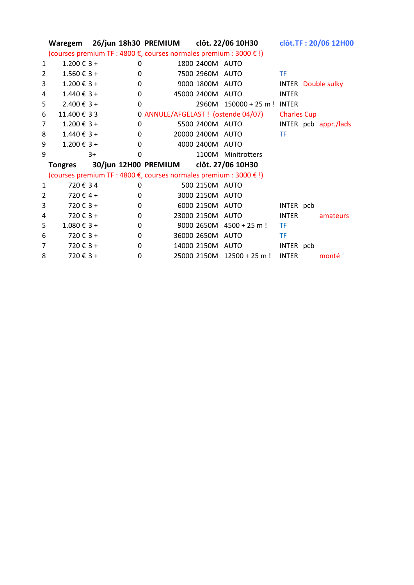|                |                          |      |              |                                                                    |                  | Waregem 26/jun 18h30 PREMIUM clôt. 22/06 10H30 |                    | clôt.TF: 20/06 12H00      |
|----------------|--------------------------|------|--------------|--------------------------------------------------------------------|------------------|------------------------------------------------|--------------------|---------------------------|
|                |                          |      |              | (courses premium TF : 4800 €, courses normales premium : 3000 € !) |                  |                                                |                    |                           |
| 1              | $1.200 \text{ € } 3 +$   |      | $\Omega$     |                                                                    | 1800 2400M AUTO  |                                                |                    |                           |
| $\overline{2}$ | $1.560 \text{ } \in 3 +$ |      | $\mathbf{0}$ |                                                                    | 7500 2960M AUTO  |                                                | <b>TF</b>          |                           |
| 3              | $1.200 \text{ € } 3 +$   |      | $\mathbf{0}$ |                                                                    |                  | 9000 1800M AUTO                                |                    | <b>INTER</b> Double sulky |
| 4              | $1.440 \text{ } \in 3 +$ |      | $\mathbf{0}$ |                                                                    | 45000 2400M AUTO |                                                | <b>INTER</b>       |                           |
| 5              | $2.400 \t{€} 3 +$        |      | $\mathbf 0$  |                                                                    |                  | 2960M 150000 + 25 m ! INTER                    |                    |                           |
| 6              | 11.400 € 33              |      |              |                                                                    |                  | 0 ANNULE/AFGELAST ! (ostende 04/07)            | <b>Charles Cup</b> |                           |
| $\overline{7}$ | $1.200 \text{ € } 3 +$   |      | $\mathbf 0$  |                                                                    |                  | 5500 2400M AUTO                                |                    | INTER pcb appr./lads      |
| 8              | $1.440 \t{£} 3 +$        |      | $\mathbf{0}$ |                                                                    | 20000 2400M AUTO |                                                | <b>TF</b>          |                           |
| 9              | $1.200 \text{ € } 3 +$   |      | $\mathbf{0}$ |                                                                    | 4000 2400M AUTO  |                                                |                    |                           |
| 9              |                          | $3+$ | $\Omega$     |                                                                    |                  | 1100M Minitrotters                             |                    |                           |
|                | <b>Tongres</b>           |      |              | 30/jun 12H00 PREMIUM clôt. 27/06 10H30                             |                  |                                                |                    |                           |
|                |                          |      |              | (courses premium TF : 4800 €, courses normales premium : 3000 € !) |                  |                                                |                    |                           |
| $\mathbf{1}$   | 720€34                   |      | 0            |                                                                    | 500 2150M AUTO   |                                                |                    |                           |
| 2              | 720 € 4 +                |      | $\Omega$     |                                                                    | 3000 2150M AUTO  |                                                |                    |                           |
| 3              | $720 € 3 +$              |      | $\mathbf{0}$ |                                                                    | 6000 2150M AUTO  |                                                | INTER pcb          |                           |
| 4              | $720 € 3 +$              |      | $\mathbf{0}$ |                                                                    | 23000 2150M AUTO |                                                | <b>INTER</b>       | amateurs                  |
| 5              | $1.080 € 3 +$            |      | $\mathbf 0$  |                                                                    |                  | $9000$ 2650M $4500 + 25$ m !                   | <b>TF</b>          |                           |
| 6              | $720 \text{ } \in 3 +$   |      | $\mathbf{0}$ |                                                                    | 36000 2650M AUTO |                                                | <b>TF</b>          |                           |
| 7              | $720 \text{ } \in 3 +$   |      | $\mathbf{0}$ |                                                                    | 14000 2150M AUTO |                                                | INTER pcb          |                           |
| 8              | 720 € $3 +$              |      | 0            |                                                                    |                  | 25000 2150M 12500 + 25 m !                     | <b>INTER</b>       | monté                     |